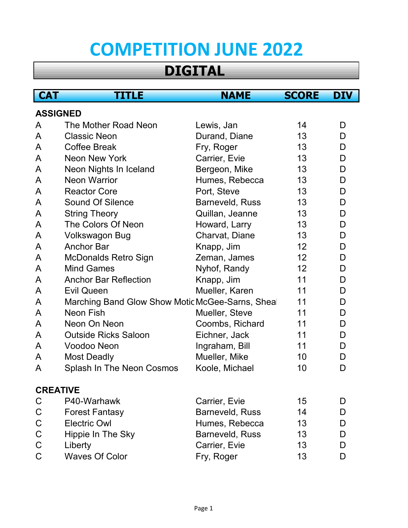# **COMPETITION JUNE 2022**

## **DIGITAL**

| <b>CAT</b>      | TITLE                                           | <b>NAME</b>     | <b>SCORE</b> | <b>DIV</b> |
|-----------------|-------------------------------------------------|-----------------|--------------|------------|
| <b>ASSIGNED</b> |                                                 |                 |              |            |
| A               | The Mother Road Neon                            | Lewis, Jan      | 14           | D          |
| A               | <b>Classic Neon</b>                             | Durand, Diane   | 13           | D          |
| A               | <b>Coffee Break</b>                             | Fry, Roger      | 13           | D          |
| A               | Neon New York                                   | Carrier, Evie   | 13           | D          |
| A               | Neon Nights In Iceland                          | Bergeon, Mike   | 13           | D          |
| A               | <b>Neon Warrior</b>                             | Humes, Rebecca  | 13           | D          |
| A               | <b>Reactor Core</b>                             | Port, Steve     | 13           | D          |
| A               | <b>Sound Of Silence</b>                         | Barneveld, Russ | 13           | D          |
| A               | <b>String Theory</b>                            | Quillan, Jeanne | 13           | D          |
| A               | The Colors Of Neon                              | Howard, Larry   | 13           | D          |
| A               | Volkswagon Bug                                  | Charvat, Diane  | 13           | D          |
| A               | <b>Anchor Bar</b>                               | Knapp, Jim      | 12           | D          |
| A               | <b>McDonalds Retro Sign</b>                     | Zeman, James    | 12           | D          |
| A               | <b>Mind Games</b>                               | Nyhof, Randy    | 12           | D          |
| A               | <b>Anchor Bar Reflection</b>                    | Knapp, Jim      | 11           | D          |
| A               | <b>Evil Queen</b>                               | Mueller, Karen  | 11           | D          |
| A               | Marching Band Glow Show Motic McGee-Sarns, Shea |                 | 11           | D          |
| A               | Neon Fish                                       | Mueller, Steve  | 11           | D          |
| A               | Neon On Neon                                    | Coombs, Richard | 11           | D          |
| A               | <b>Outside Ricks Saloon</b>                     | Eichner, Jack   | 11           | D          |
| A               | Voodoo Neon                                     | Ingraham, Bill  | 11           | D          |
| A               | <b>Most Deadly</b>                              | Mueller, Mike   | 10           | D          |
| A               | Splash In The Neon Cosmos                       | Koole, Michael  | 10           | D          |
| <b>CREATIVE</b> |                                                 |                 |              |            |
| C               | P40-Warhawk                                     | Carrier, Evie   | 15           | D          |
| C               | <b>Forest Fantasy</b>                           | Barneveld, Russ | 14           | D          |
| $\mathsf C$     | <b>Electric Owl</b>                             | Humes, Rebecca  | 13           | D          |
| $\mathsf C$     | Hippie In The Sky                               | Barneveld, Russ | 13           | D          |
| $\mathsf C$     | Liberty                                         | Carrier, Evie   | 13           | D          |
| $\mathsf C$     | <b>Waves Of Color</b>                           | Fry, Roger      | 13           | D          |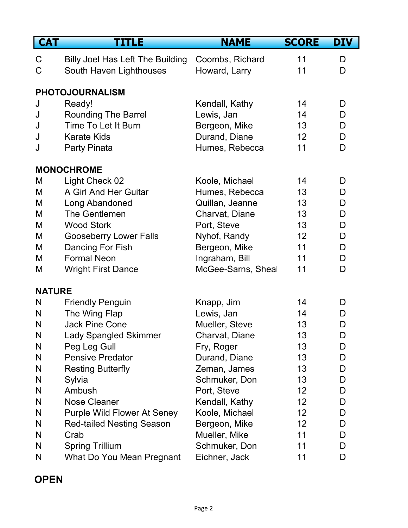| <b>CAT</b>    | <b>TITLE</b>                            | <b>NAME</b>       | <b>SCORE</b>    | <b>DIV</b> |
|---------------|-----------------------------------------|-------------------|-----------------|------------|
| C             | <b>Billy Joel Has Left The Building</b> | Coombs, Richard   | 11              | D          |
| C             | South Haven Lighthouses                 | Howard, Larry     | 11              | D          |
|               |                                         |                   |                 |            |
|               | <b>PHOTOJOURNALISM</b>                  |                   |                 |            |
| J             | Ready!                                  | Kendall, Kathy    | 14              | D          |
| J             | <b>Rounding The Barrel</b>              | Lewis, Jan        | 14              | D          |
| J             | Time To Let It Burn                     | Bergeon, Mike     | 13              | D          |
| J             | <b>Karate Kids</b>                      | Durand, Diane     | 12              | D          |
| J             | Party Pinata                            | Humes, Rebecca    | 11              | D          |
|               | <b>MONOCHROME</b>                       |                   |                 |            |
| M             | Light Check 02                          | Koole, Michael    | 14              | D          |
| M             | A Girl And Her Guitar                   | Humes, Rebecca    | 13              | D          |
| M             | Long Abandoned                          | Quillan, Jeanne   | 13              | D          |
| M             | <b>The Gentlemen</b>                    | Charvat, Diane    | 13              | D          |
| M             | <b>Wood Stork</b>                       | Port, Steve       | 13              | D          |
| M             | <b>Gooseberry Lower Falls</b>           | Nyhof, Randy      | 12              | D          |
| M             | Dancing For Fish                        | Bergeon, Mike     | 11              | D          |
| M             | <b>Formal Neon</b>                      | Ingraham, Bill    | 11              | D          |
| M             | <b>Wright First Dance</b>               | McGee-Sarns, Shea | 11              | D          |
| <b>NATURE</b> |                                         |                   |                 |            |
| N             | <b>Friendly Penguin</b>                 | Knapp, Jim        | 14              | D          |
| N             | The Wing Flap                           | Lewis, Jan        | 14              | D          |
| N             | <b>Jack Pine Cone</b>                   | Mueller, Steve    | 13              | D          |
| N             | Lady Spangled Skimmer                   | Charvat, Diane    | 13              | D          |
| N             | Peg Leg Gull                            | Fry, Roger        | 13              | D          |
| N             | <b>Pensive Predator</b>                 | Durand, Diane     | 13              | D          |
| N             | <b>Resting Butterfly</b>                | Zeman, James      | 13              | D          |
| N             | Sylvia                                  | Schmuker, Don     | 13              | D          |
| N             | <b>Ambush</b>                           | Port, Steve       | 12              | D          |
| N             | <b>Nose Cleaner</b>                     | Kendall, Kathy    | 12              | D          |
| N             | <b>Purple Wild Flower At Seney</b>      | Koole, Michael    | 12 <sub>2</sub> | D          |
| N             | <b>Red-tailed Nesting Season</b>        | Bergeon, Mike     | 12              | D          |
| N             | Crab                                    | Mueller, Mike     | 11              | D          |
| N             | <b>Spring Trillium</b>                  | Schmuker, Don     | 11              | D          |
| N             | What Do You Mean Pregnant               | Eichner, Jack     | 11              | D          |

### **OPEN**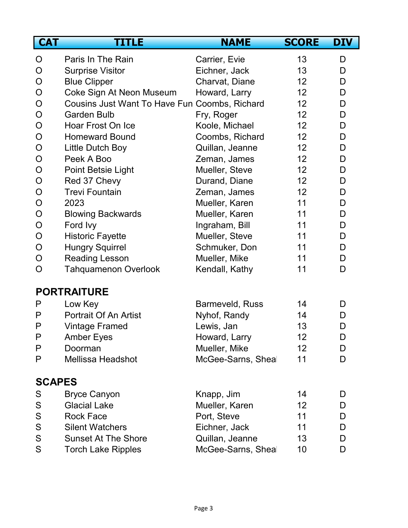| <b>CAT</b>    | <b>TITLE</b>                                  | <b>NAME</b>       | <b>SCORE</b> | <b>DIV</b> |
|---------------|-----------------------------------------------|-------------------|--------------|------------|
| O             | Paris In The Rain                             | Carrier, Evie     | 13           | D          |
| O             | <b>Surprise Visitor</b>                       | Eichner, Jack     | 13           | D          |
| $\mathsf{O}$  | <b>Blue Clipper</b>                           | Charvat, Diane    | 12           | D          |
| $\mathsf{O}$  | Coke Sign At Neon Museum                      | Howard, Larry     | 12           | D          |
| O             | Cousins Just Want To Have Fun Coombs, Richard |                   | 12           | D          |
| $\mathsf{O}$  | <b>Garden Bulb</b>                            | Fry, Roger        | 12           | D          |
| $\mathsf{O}$  | Hoar Frost On Ice                             | Koole, Michael    | 12           | D          |
| O             | <b>Homeward Bound</b>                         | Coombs, Richard   | 12           | D          |
| $\mathsf{O}$  | Little Dutch Boy                              | Quillan, Jeanne   | 12           | D          |
| $\mathsf{O}$  | Peek A Boo                                    | Zeman, James      | 12           | D          |
| $\mathsf{O}$  | Point Betsie Light                            | Mueller, Steve    | 12           | D          |
| $\mathsf{O}$  | Red 37 Chevy                                  | Durand, Diane     | 12           | D          |
| $\mathsf{O}$  | <b>Trevi Fountain</b>                         | Zeman, James      | 12           | D          |
| O             | 2023                                          | Mueller, Karen    | 11           | D          |
| $\mathsf{O}$  | <b>Blowing Backwards</b>                      | Mueller, Karen    | 11           | D          |
| $\mathsf{O}$  | Ford Ivy                                      | Ingraham, Bill    | 11           | D          |
| $\mathsf{O}$  | <b>Historic Fayette</b>                       | Mueller, Steve    | 11           | D          |
| $\mathsf{O}$  | <b>Hungry Squirrel</b>                        | Schmuker, Don     | 11           | D          |
| $\mathsf{O}$  | <b>Reading Lesson</b>                         | Mueller, Mike     | 11           | D          |
| O             | <b>Tahquamenon Overlook</b>                   | Kendall, Kathy    | 11           | D          |
|               | <b>PORTRAITURE</b>                            |                   |              |            |
| P             | Low Key                                       | Barmeveld, Russ   | 14           | D          |
| P             | <b>Portrait Of An Artist</b>                  | Nyhof, Randy      | 14           | D          |
| P             | <b>Vintage Framed</b>                         | Lewis, Jan        | 13           | D          |
| P             | <b>Amber Eyes</b>                             | Howard, Larry     | 12           | D          |
| P             | Doorman                                       | Mueller, Mike     | 12           | D          |
| P             | <b>Mellissa Headshot</b>                      | McGee-Sarns, Shea | 11           | D          |
| <b>SCAPES</b> |                                               |                   |              |            |
| S             | <b>Bryce Canyon</b>                           | Knapp, Jim        | 14           | D          |
| S             | <b>Glacial Lake</b>                           | Mueller, Karen    | 12           | D          |
| ${\mathsf S}$ | <b>Rock Face</b>                              | Port, Steve       | 11           | D          |
| S             | <b>Silent Watchers</b>                        | Eichner, Jack     | 11           | D          |
| ${\mathsf S}$ | <b>Sunset At The Shore</b>                    | Quillan, Jeanne   | 13           | D          |
| S             | <b>Torch Lake Ripples</b>                     | McGee-Sarns, Shea | 10           | D          |